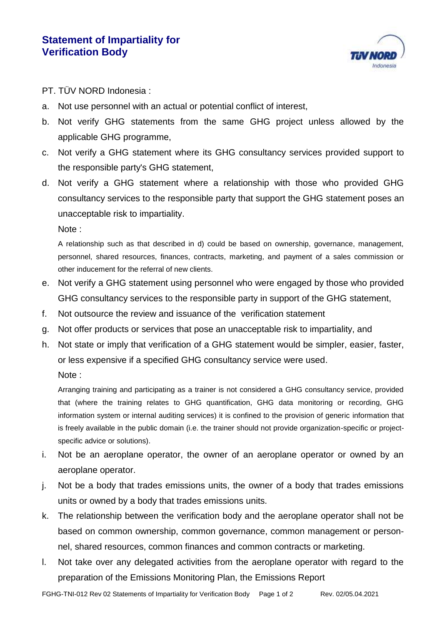

## PT. TÜV NORD Indonesia :

- a. Not use personnel with an actual or potential conflict of interest,
- b. Not verify GHG statements from the same GHG project unless allowed by the applicable GHG programme,
- c. Not verify a GHG statement where its GHG consultancy services provided support to the responsible party's GHG statement,
- d. Not verify a GHG statement where a relationship with those who provided GHG consultancy services to the responsible party that support the GHG statement poses an unacceptable risk to impartiality.

Note :

A relationship such as that described in d) could be based on ownership, governance, management, personnel, shared resources, finances, contracts, marketing, and payment of a sales commission or other inducement for the referral of new clients.

- e. Not verify a GHG statement using personnel who were engaged by those who provided GHG consultancy services to the responsible party in support of the GHG statement,
- f. Not outsource the review and issuance of the verification statement
- g. Not offer products or services that pose an unacceptable risk to impartiality, and
- h. Not state or imply that verification of a GHG statement would be simpler, easier, faster, or less expensive if a specified GHG consultancy service were used.

Note :

Arranging training and participating as a trainer is not considered a GHG consultancy service, provided that (where the training relates to GHG quantification, GHG data monitoring or recording, GHG information system or internal auditing services) it is confined to the provision of generic information that is freely available in the public domain (i.e. the trainer should not provide organization-specific or projectspecific advice or solutions).

- i. Not be an aeroplane operator, the owner of an aeroplane operator or owned by an aeroplane operator.
- j. Not be a body that trades emissions units, the owner of a body that trades emissions units or owned by a body that trades emissions units.
- k. The relationship between the verification body and the aeroplane operator shall not be based on common ownership, common governance, common management or personnel, shared resources, common finances and common contracts or marketing.
- l. Not take over any delegated activities from the aeroplane operator with regard to the preparation of the Emissions Monitoring Plan, the Emissions Report